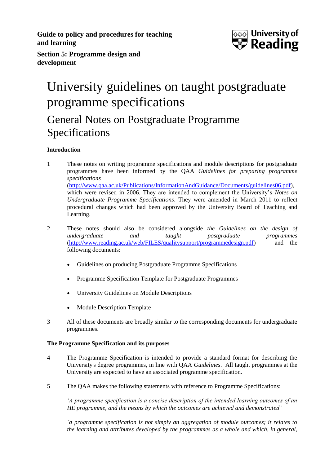**Guide to policy and procedures for teaching and learning**



**Section 5: Programme design and development**

# University guidelines on taught postgraduate programme specifications

## General Notes on Postgraduate Programme Specifications

## **Introduction**

- 1 These notes on writing programme specifications and module descriptions for postgraduate programmes have been informed by the QAA *Guidelines for preparing programme specifications* [\(http://www.qaa.ac.uk/Publications/InformationAndGuidance/Documents/guidelines06.pdf\)](http://www.qaa.ac.uk/Publications/InformationAndGuidance/Documents/guidelines06.pdf), which were revised in 2006. They are intended to complement the University's *Notes on Undergraduate Programme Specifications*. They were amended in March 2011 to reflect procedural changes which had been approved by the University Board of Teaching and Learning.
- 2 These notes should also be considered alongside *the Guidelines on the design of undergraduate and taught postgraduate programmes* [\(http://www.reading.ac.uk/web/FILES/qualitysupport/programmedesign.pdf\)](http://www.reading.ac.uk/web/FILES/qualitysupport/programmedesign.pdf) and the following documents:
	- Guidelines on producing Postgraduate Programme Specifications
	- Programme Specification Template for Postgraduate Programmes
	- University Guidelines on Module Descriptions
	- Module Description Template
- 3 All of these documents are broadly similar to the corresponding documents for undergraduate programmes.

## **The Programme Specification and its purposes**

- 4 The Programme Specification is intended to provide a standard format for describing the University's degree programmes, in line with QAA *Guidelines*. All taught programmes at the University are expected to have an associated programme specification.
- 5 The QAA makes the following statements with reference to Programme Specifications:

*'A programme specification is a concise description of the intended learning outcomes of an HE programme, and the means by which the outcomes are achieved and demonstrated'*

*'a programme specification is not simply an aggregation of module outcomes; it relates to the learning and attributes developed by the programmes as a whole and which, in general,*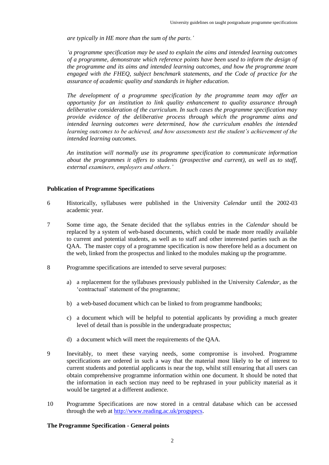*are typically in HE more than the sum of the parts.'*

*'a programme specification may be used to explain the aims and intended learning outcomes of a programme, demonstrate which reference points have been used to inform the design of the programme and its aims and intended learning outcomes, and how the programme team engaged with the FHEQ, subject benchmark statements, and the Code of practice for the assurance of academic quality and standards in higher education.*

*The development of a programme specification by the programme team may offer an opportunity for an institution to link quality enhancement to quality assurance through deliberative consideration of the curriculum. In such cases the programme specification may provide evidence of the deliberative process through which the programme aims and intended learning outcomes were determined, how the curriculum enables the intended learning outcomes to be achieved, and how assessments test the student's achievement of the intended learning outcomes.*

*An institution will normally use its programme specification to communicate information about the programmes it offers to students (prospective and current), as well as to staff, external examiners, employers and others.'*

### **Publication of Programme Specifications**

- 6 Historically, syllabuses were published in the University *Calendar* until the 2002-03 academic year.
- 7 Some time ago, the Senate decided that the syllabus entries in the *Calendar* should be replaced by a system of web-based documents, which could be made more readily available to current and potential students, as well as to staff and other interested parties such as the QAA. The master copy of a programme specification is now therefore held as a document on the web, linked from the prospectus and linked to the modules making up the programme.
- 8 Programme specifications are intended to serve several purposes:
	- a) a replacement for the syllabuses previously published in the University *Calendar*, as the 'contractual' statement of the programme;
	- b) a web-based document which can be linked to from programme handbooks;
	- c) a document which will be helpful to potential applicants by providing a much greater level of detail than is possible in the undergraduate prospectus;
	- d) a document which will meet the requirements of the QAA.
- 9 Inevitably, to meet these varying needs, some compromise is involved. Programme specifications are ordered in such a way that the material most likely to be of interest to current students and potential applicants is near the top, whilst still ensuring that all users can obtain comprehensive programme information within one document. It should be noted that the information in each section may need to be rephrased in your publicity material as it would be targeted at a different audience.
- 10 Programme Specifications are now stored in a central database which can be accessed through the web at [http://www.reading.ac.uk/progspecs.](http://www.reading.ac.uk/progspecs)

#### **The Programme Specification - General points**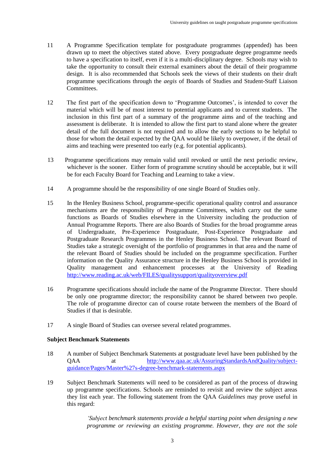- 11 A Programme Specification template for postgraduate programmes (appended) has been drawn up to meet the objectives stated above. Every postgraduate degree programme needs to have a specification to itself, even if it is a multi-disciplinary degree. Schools may wish to take the opportunity to consult their external examiners about the detail of their programme design. It is also recommended that Schools seek the views of their students on their draft programme specifications through the *aegis* of Boards of Studies and Student-Staff Liaison Committees.
- 12 The first part of the specification down to 'Programme Outcomes', is intended to cover the material which will be of most interest to potential applicants and to current students. The inclusion in this first part of a summary of the programme aims and of the teaching and assessment is deliberate. It is intended to allow the first part to stand alone where the greater detail of the full document is not required and to allow the early sections to be helpful to those for whom the detail expected by the QAA would be likely to overpower, if the detail of aims and teaching were presented too early (e.g. for potential applicants).
- 13 Programme specifications may remain valid until revoked or until the next periodic review, whichever is the sooner. Either form of programme scrutiny should be acceptable, but it will be for each Faculty Board for Teaching and Learning to take a view.
- 14 A programme should be the responsibility of one single Board of Studies only.
- 15 In the Henley Business School, programme-specific operational quality control and assurance mechanisms are the responsibility of Programme Committees, which carry out the same functions as Boards of Studies elsewhere in the University including the production of Annual Programme Reports. There are also Boards of Studies for the broad programme areas of Undergraduate, Pre-Experience Postgraduate, Post-Experience Postgraduate and Postgraduate Research Programmes in the Henley Business School. The relevant Board of Studies take a strategic oversight of the portfolio of programmes in that area and the name of the relevant Board of Studies should be included on the programme specification. Further information on the Quality Assurance structure in the Henley Business School is provided in Quality management and enhancement processes at the University of Reading <http://www.reading.ac.uk/web/FILES/qualitysupport/qualityoverview.pdf>
- 16 Programme specifications should include the name of the Programme Director. There should be only one programme director; the responsibility cannot be shared between two people. The role of programme director can of course rotate between the members of the Board of Studies if that is desirable.
- 17 A single Board of Studies can oversee several related programmes.

## **Subject Benchmark Statements**

- 18 A number of Subject Benchmark Statements at postgraduate level have been published by the QAA at [http://www.qaa.ac.uk/AssuringStandardsAndQuality/subject](http://www.qaa.ac.uk/AssuringStandardsAndQuality/subject-guidance/Pages/Master%27s-degree-benchmark-statements.aspx)[guidance/Pages/Master%27s-degree-benchmark-statements.aspx](http://www.qaa.ac.uk/AssuringStandardsAndQuality/subject-guidance/Pages/Master%27s-degree-benchmark-statements.aspx)
- 19 Subject Benchmark Statements will need to be considered as part of the process of drawing up programme specifications. Schools are reminded to revisit and review the subject areas they list each year. The following statement from the QAA *Guidelines* may prove useful in this regard:

*'Subject benchmark statements provide a helpful starting point when designing a new programme or reviewing an existing programme. However, they are not the sole*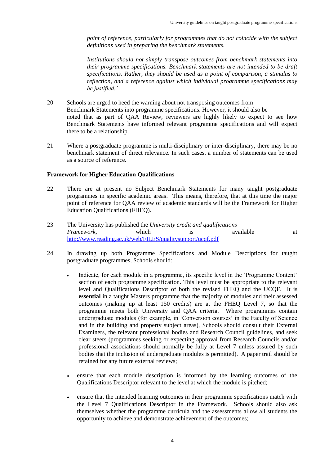*point of reference, particularly for programmes that do not coincide with the subject definitions used in preparing the benchmark statements.*

*Institutions should not simply transpose outcomes from benchmark statements into their programme specifications. Benchmark statements are not intended to be draft specifications. Rather, they should be used as a point of comparison, a stimulus to reflection, and a reference against which individual programme specifications may be justified.'*

- 20 Schools are urged to heed the warning about not transposing outcomes from Benchmark Statements into programme specifications. However, it should also be noted that as part of QAA Review, reviewers are highly likely to expect to see how Benchmark Statements have informed relevant programme specifications and will expect there to be a relationship.
- 21 Where a postgraduate programme is multi-disciplinary or inter-disciplinary, there may be no benchmark statement of direct relevance. In such cases, a number of statements can be used as a source of reference.

### **Framework for Higher Education Qualifications**

- 22 There are at present no Subject Benchmark Statements for many taught postgraduate programmes in specific academic areas. This means, therefore, that at this time the major point of reference for QAA review of academic standards will be the Framework for Higher Education Qualifications (FHEQ).
- 23 The University has published the *University credit and qualifications Framework*, which is available at <http://www.reading.ac.uk/web/FILES/qualitysupport/ucqf.pdf>
- 24 In drawing up both Programme Specifications and Module Descriptions for taught postgraduate programmes, Schools should:
	- Indicate, for each module in a programme, its specific level in the 'Programme Content' section of each programme specification. This level must be appropriate to the relevant level and Qualifications Descriptor of both the revised FHEQ and the UCQF. It is **essential** in a taught Masters programme that the majority of modules and their assessed outcomes (making up at least 150 credits) are at the FHEQ Level 7, so that the programme meets both University and QAA criteria. Where programmes contain undergraduate modules (for example, in 'Conversion courses' in the Faculty of Science and in the building and property subject areas), Schools should consult their External Examiners, the relevant professional bodies and Research Council guidelines, and seek clear steers (programmes seeking or expecting approval from Research Councils and/or professional associations should normally be fully at Level 7 unless assured by such bodies that the inclusion of undergraduate modules is permitted). A paper trail should be retained for any future external reviews;
	- ensure that each module description is informed by the learning outcomes of the Qualifications Descriptor relevant to the level at which the module is pitched;
	- ensure that the intended learning outcomes in their programme specifications match with the Level 7 Qualifications Descriptor in the Framework. Schools should also ask themselves whether the programme curricula and the assessments allow all students the opportunity to achieve and demonstrate achievement of the outcomes;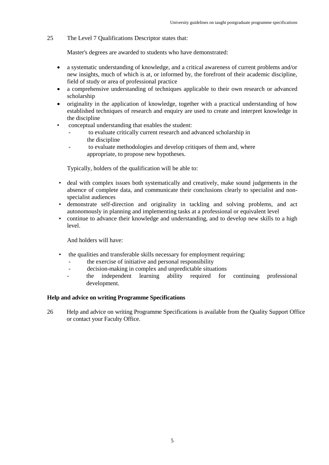25 The Level 7 Qualifications Descriptor states that:

Master's degrees are awarded to students who have demonstrated:

- a systematic understanding of knowledge, and a critical awareness of current problems and/or new insights, much of which is at, or informed by, the forefront of their academic discipline, field of study or area of professional practice
- a comprehensive understanding of techniques applicable to their own research or advanced scholarship
- originality in the application of knowledge, together with a practical understanding of how established techniques of research and enquiry are used to create and interpret knowledge in the discipline
- conceptual understanding that enables the student:
	- to evaluate critically current research and advanced scholarship in the discipline
	- to evaluate methodologies and develop critiques of them and, where appropriate, to propose new hypotheses.

Typically, holders of the qualification will be able to:

- deal with complex issues both systematically and creatively, make sound judgements in the absence of complete data, and communicate their conclusions clearly to specialist and nonspecialist audiences
- demonstrate self-direction and originality in tackling and solving problems, and act autonomously in planning and implementing tasks at a professional or equivalent level
- continue to advance their knowledge and understanding, and to develop new skills to a high level.

And holders will have:

- the qualities and transferable skills necessary for employment requiring:
	- the exercise of initiative and personal responsibility
	- decision-making in complex and unpredictable situations
	- the independent learning ability required for continuing professional development.

## **Help and advice on writing Programme Specifications**

26 Help and advice on writing Programme Specifications is available from the Quality Support Office or contact your Faculty Office.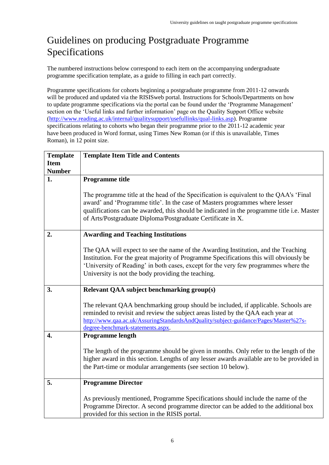## Guidelines on producing Postgraduate Programme Specifications

The numbered instructions below correspond to each item on the accompanying undergraduate programme specification template, as a guide to filling in each part correctly.

Programme specifications for cohorts beginning a postgraduate programme from 2011-12 onwards will be produced and updated via the RISISweb portal. Instructions for Schools/Departments on how to update programme specifications via the portal can be found under the 'Programme Management' section on the 'Useful links and further information' page on the Quality Support Office website [\(http://www.reading.ac.uk/internal/qualitysupport/usefullinks/qual-links.asp\)](http://www.reading.ac.uk/internal/qualitysupport/usefullinks/qual-links.asp). Programme specifications relating to cohorts who began their programme prior to the 2011-12 academic year have been produced in Word format, using Times New Roman (or if this is unavailable, Times Roman), in 12 point size.

| <b>Template</b> | <b>Template Item Title and Contents</b>                                                    |  |  |  |
|-----------------|--------------------------------------------------------------------------------------------|--|--|--|
| <b>Item</b>     |                                                                                            |  |  |  |
| <b>Number</b>   |                                                                                            |  |  |  |
| 1.              | <b>Programme title</b>                                                                     |  |  |  |
|                 |                                                                                            |  |  |  |
|                 | The programme title at the head of the Specification is equivalent to the QAA's 'Final     |  |  |  |
|                 | award' and 'Programme title'. In the case of Masters programmes where lesser               |  |  |  |
|                 | qualifications can be awarded, this should be indicated in the programme title i.e. Master |  |  |  |
|                 | of Arts/Postgraduate Diploma/Postgraduate Certificate in X.                                |  |  |  |
|                 |                                                                                            |  |  |  |
| 2.              | <b>Awarding and Teaching Institutions</b>                                                  |  |  |  |
|                 | The QAA will expect to see the name of the Awarding Institution, and the Teaching          |  |  |  |
|                 | Institution. For the great majority of Programme Specifications this will obviously be     |  |  |  |
|                 | 'University of Reading' in both cases, except for the very few programmes where the        |  |  |  |
|                 | University is not the body providing the teaching.                                         |  |  |  |
|                 |                                                                                            |  |  |  |
| 3.              | Relevant QAA subject benchmarking group(s)                                                 |  |  |  |
|                 |                                                                                            |  |  |  |
|                 | The relevant QAA benchmarking group should be included, if applicable. Schools are         |  |  |  |
|                 | reminded to revisit and review the subject areas listed by the QAA each year at            |  |  |  |
|                 | http://www.qaa.ac.uk/AssuringStandardsAndQuality/subject-guidance/Pages/Master%27s-        |  |  |  |
| 4.              | degree-benchmark-statements.aspx.<br><b>Programme length</b>                               |  |  |  |
|                 |                                                                                            |  |  |  |
|                 | The length of the programme should be given in months. Only refer to the length of the     |  |  |  |
|                 | higher award in this section. Lengths of any lesser awards available are to be provided in |  |  |  |
|                 | the Part-time or modular arrangements (see section 10 below).                              |  |  |  |
|                 |                                                                                            |  |  |  |
| 5.              | <b>Programme Director</b>                                                                  |  |  |  |
|                 |                                                                                            |  |  |  |
|                 | As previously mentioned, Programme Specifications should include the name of the           |  |  |  |
|                 | Programme Director. A second programme director can be added to the additional box         |  |  |  |
|                 | provided for this section in the RISIS portal.                                             |  |  |  |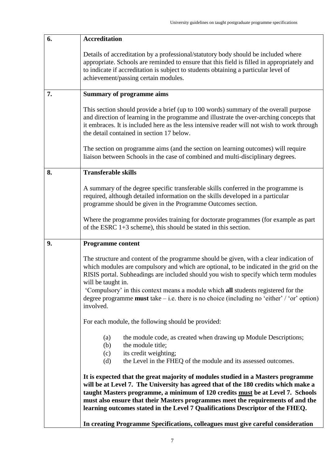| 6. | <b>Accreditation</b>                                                                                                                                                                                                                                                                                                                                                                                                                                                                                     |  |  |
|----|----------------------------------------------------------------------------------------------------------------------------------------------------------------------------------------------------------------------------------------------------------------------------------------------------------------------------------------------------------------------------------------------------------------------------------------------------------------------------------------------------------|--|--|
|    | Details of accreditation by a professional/statutory body should be included where<br>appropriate. Schools are reminded to ensure that this field is filled in appropriately and<br>to indicate if accreditation is subject to students obtaining a particular level of<br>achievement/passing certain modules.                                                                                                                                                                                          |  |  |
| 7. | <b>Summary of programme aims</b>                                                                                                                                                                                                                                                                                                                                                                                                                                                                         |  |  |
|    | This section should provide a brief (up to 100 words) summary of the overall purpose<br>and direction of learning in the programme and illustrate the over-arching concepts that<br>it embraces. It is included here as the less intensive reader will not wish to work through<br>the detail contained in section 17 below.                                                                                                                                                                             |  |  |
|    | The section on programme aims (and the section on learning outcomes) will require<br>liaison between Schools in the case of combined and multi-disciplinary degrees.                                                                                                                                                                                                                                                                                                                                     |  |  |
| 8. | <b>Transferable skills</b>                                                                                                                                                                                                                                                                                                                                                                                                                                                                               |  |  |
|    | A summary of the degree specific transferable skills conferred in the programme is<br>required, although detailed information on the skills developed in a particular<br>programme should be given in the Programme Outcomes section.                                                                                                                                                                                                                                                                    |  |  |
|    | Where the programme provides training for doctorate programmes (for example as part<br>of the ESRC $1+3$ scheme), this should be stated in this section.                                                                                                                                                                                                                                                                                                                                                 |  |  |
| 9. | <b>Programme content</b>                                                                                                                                                                                                                                                                                                                                                                                                                                                                                 |  |  |
|    | The structure and content of the programme should be given, with a clear indication of<br>which modules are compulsory and which are optional, to be indicated in the grid on the<br>RISIS portal. Subheadings are included should you wish to specify which term modules<br>will be taught in.<br>'Compulsory' in this context means a module which all students registered for the<br>degree programme <b>must</b> take $-$ i.e. there is no choice (including no 'either' / 'or' option)<br>involved. |  |  |
|    | For each module, the following should be provided:                                                                                                                                                                                                                                                                                                                                                                                                                                                       |  |  |
|    | the module code, as created when drawing up Module Descriptions;<br>(a)<br>the module title;<br>(b)<br>its credit weighting;<br>(c)<br>the Level in the FHEQ of the module and its assessed outcomes.<br>(d)                                                                                                                                                                                                                                                                                             |  |  |
|    | It is expected that the great majority of modules studied in a Masters programme<br>will be at Level 7. The University has agreed that of the 180 credits which make a<br>taught Masters programme, a minimum of 120 credits must be at Level 7. Schools<br>must also ensure that their Masters programmes meet the requirements of and the<br>learning outcomes stated in the Level 7 Qualifications Descriptor of the FHEQ.                                                                            |  |  |
|    | In creating Programme Specifications, colleagues must give careful consideration                                                                                                                                                                                                                                                                                                                                                                                                                         |  |  |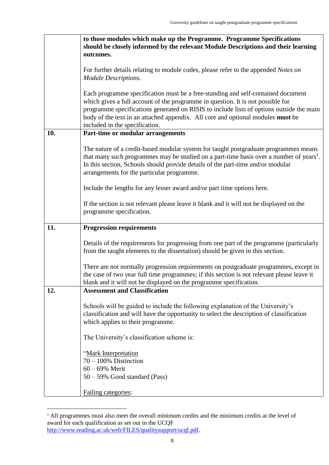|     | to those modules which make up the Programme. Programme Specifications                                                                                                                                                                                                                                                                                                               |  |  |  |
|-----|--------------------------------------------------------------------------------------------------------------------------------------------------------------------------------------------------------------------------------------------------------------------------------------------------------------------------------------------------------------------------------------|--|--|--|
|     | should be closely informed by the relevant Module Descriptions and their learning<br>outcomes.                                                                                                                                                                                                                                                                                       |  |  |  |
|     |                                                                                                                                                                                                                                                                                                                                                                                      |  |  |  |
|     | For further details relating to module codes, please refer to the appended Notes on                                                                                                                                                                                                                                                                                                  |  |  |  |
|     | <b>Module Descriptions.</b>                                                                                                                                                                                                                                                                                                                                                          |  |  |  |
|     | Each programme specification must be a free-standing and self-contained document<br>which gives a full account of the programme in question. It is not possible for<br>programme specifications generated on RISIS to include lists of options outside the main<br>body of the text in an attached appendix. All core and optional modules must be<br>included in the specification. |  |  |  |
| 10. | Part-time or modular arrangements                                                                                                                                                                                                                                                                                                                                                    |  |  |  |
|     | The nature of a credit-based modular system for taught postgraduate programmes means<br>that many such programmes may be studied on a part-time basis over a number of years <sup>1</sup> .<br>In this section, Schools should provide details of the part-time and/or modular<br>arrangements for the particular programme.                                                         |  |  |  |
|     | Include the lengths for any lesser award and/or part time options here.                                                                                                                                                                                                                                                                                                              |  |  |  |
|     | If the section is not relevant please leave it blank and it will not be displayed on the<br>programme specification.                                                                                                                                                                                                                                                                 |  |  |  |
| 11. | <b>Progression requirements</b>                                                                                                                                                                                                                                                                                                                                                      |  |  |  |
|     | Details of the requirements for progressing from one part of the programme (particularly<br>from the taught elements to the dissertation) should be given in this section.                                                                                                                                                                                                           |  |  |  |
|     | There are not normally progression requirements on postgraduate programmes, except in<br>the case of two year full time programmes; if this section is not relevant please leave it<br>blank and it will not be displayed on the programme specification.                                                                                                                            |  |  |  |
| 12. | <b>Assessment and Classification</b>                                                                                                                                                                                                                                                                                                                                                 |  |  |  |
|     | Schools will be guided to include the following explanation of the University's<br>classification and will have the opportunity to select the description of classification<br>which applies to their programme.                                                                                                                                                                     |  |  |  |
|     | The University's classification scheme is:                                                                                                                                                                                                                                                                                                                                           |  |  |  |
|     | "Mark Interpretation<br>$70 - 100\%$ Distinction                                                                                                                                                                                                                                                                                                                                     |  |  |  |
|     | $60 - 69%$ Merit                                                                                                                                                                                                                                                                                                                                                                     |  |  |  |
|     | 50 – 59% Good standard (Pass)                                                                                                                                                                                                                                                                                                                                                        |  |  |  |
|     | Failing categories:                                                                                                                                                                                                                                                                                                                                                                  |  |  |  |

<sup>&</sup>lt;sup>1</sup> All programmes must also meet the overall minimum credits and the minimum credits at the level of award for each qualification as set out in the UCQF [http://www.reading.ac.uk/web/FILES/qualitysupport/ucqf.pdf.](http://www.reading.ac.uk/web/FILES/qualitysupport/ucqf.pdf)

 $\overline{a}$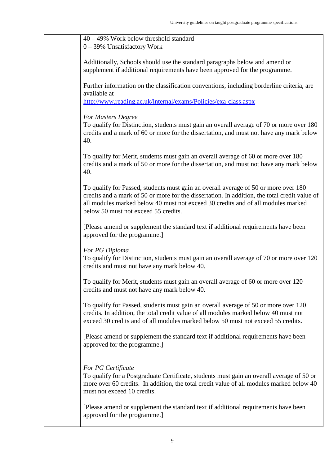| $40 - 49\%$ Work below threshold standard<br>$0 - 39\%$ Unsatisfactory Work                                                                                                                                                                                                                                      |  |
|------------------------------------------------------------------------------------------------------------------------------------------------------------------------------------------------------------------------------------------------------------------------------------------------------------------|--|
|                                                                                                                                                                                                                                                                                                                  |  |
| Additionally, Schools should use the standard paragraphs below and amend or<br>supplement if additional requirements have been approved for the programme.                                                                                                                                                       |  |
| Further information on the classification conventions, including borderline criteria, are<br>available at                                                                                                                                                                                                        |  |
| http://www.reading.ac.uk/internal/exams/Policies/exa-class.aspx                                                                                                                                                                                                                                                  |  |
| For Masters Degree                                                                                                                                                                                                                                                                                               |  |
| To qualify for Distinction, students must gain an overall average of 70 or more over 180<br>credits and a mark of 60 or more for the dissertation, and must not have any mark below<br>40.                                                                                                                       |  |
| To qualify for Merit, students must gain an overall average of 60 or more over 180<br>credits and a mark of 50 or more for the dissertation, and must not have any mark below<br>40.                                                                                                                             |  |
| To qualify for Passed, students must gain an overall average of 50 or more over 180<br>credits and a mark of 50 or more for the dissertation. In addition, the total credit value of<br>all modules marked below 40 must not exceed 30 credits and of all modules marked<br>below 50 must not exceed 55 credits. |  |
| [Please amend or supplement the standard text if additional requirements have been<br>approved for the programme.]                                                                                                                                                                                               |  |
| For PG Diploma<br>To qualify for Distinction, students must gain an overall average of 70 or more over 120<br>credits and must not have any mark below 40.                                                                                                                                                       |  |
| To qualify for Merit, students must gain an overall average of 60 or more over 120<br>credits and must not have any mark below 40.                                                                                                                                                                               |  |
| To qualify for Passed, students must gain an overall average of 50 or more over 120<br>credits. In addition, the total credit value of all modules marked below 40 must not<br>exceed 30 credits and of all modules marked below 50 must not exceed 55 credits.                                                  |  |
| [Please amend or supplement the standard text if additional requirements have been<br>approved for the programme.]                                                                                                                                                                                               |  |
| For PG Certificate<br>To qualify for a Postgraduate Certificate, students must gain an overall average of 50 or<br>more over 60 credits. In addition, the total credit value of all modules marked below 40<br>must not exceed 10 credits.                                                                       |  |
| [Please amend or supplement the standard text if additional requirements have been<br>approved for the programme.]                                                                                                                                                                                               |  |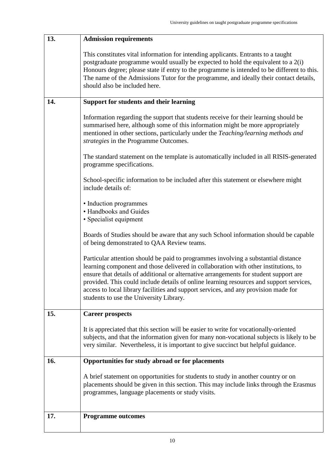| 13. | <b>Admission requirements</b>                                                                                                                                                                                                                                                                                                                                                                                                                                                                   |  |  |
|-----|-------------------------------------------------------------------------------------------------------------------------------------------------------------------------------------------------------------------------------------------------------------------------------------------------------------------------------------------------------------------------------------------------------------------------------------------------------------------------------------------------|--|--|
|     | This constitutes vital information for intending applicants. Entrants to a taught<br>postgraduate programme would usually be expected to hold the equivalent to a 2(i)<br>Honours degree; please state if entry to the programme is intended to be different to this.<br>The name of the Admissions Tutor for the programme, and ideally their contact details,<br>should also be included here.                                                                                                |  |  |
| 14. | Support for students and their learning                                                                                                                                                                                                                                                                                                                                                                                                                                                         |  |  |
|     | Information regarding the support that students receive for their learning should be<br>summarised here, although some of this information might be more appropriately<br>mentioned in other sections, particularly under the Teaching/learning methods and<br>strategies in the Programme Outcomes.                                                                                                                                                                                            |  |  |
|     | The standard statement on the template is automatically included in all RISIS-generated<br>programme specifications.                                                                                                                                                                                                                                                                                                                                                                            |  |  |
|     | School-specific information to be included after this statement or elsewhere might<br>include details of:                                                                                                                                                                                                                                                                                                                                                                                       |  |  |
|     | • Induction programmes<br>• Handbooks and Guides<br>• Specialist equipment                                                                                                                                                                                                                                                                                                                                                                                                                      |  |  |
|     | Boards of Studies should be aware that any such School information should be capable<br>of being demonstrated to QAA Review teams.                                                                                                                                                                                                                                                                                                                                                              |  |  |
|     | Particular attention should be paid to programmes involving a substantial distance<br>learning component and those delivered in collaboration with other institutions, to<br>ensure that details of additional or alternative arrangements for student support are<br>provided. This could include details of online learning resources and support services,<br>access to local library facilities and support services, and any provision made for<br>students to use the University Library. |  |  |
| 15. | <b>Career prospects</b>                                                                                                                                                                                                                                                                                                                                                                                                                                                                         |  |  |
|     | It is appreciated that this section will be easier to write for vocationally-oriented<br>subjects, and that the information given for many non-vocational subjects is likely to be<br>very similar. Nevertheless, it is important to give succinct but helpful guidance.                                                                                                                                                                                                                        |  |  |
| 16. | Opportunities for study abroad or for placements                                                                                                                                                                                                                                                                                                                                                                                                                                                |  |  |
|     | A brief statement on opportunities for students to study in another country or on<br>placements should be given in this section. This may include links through the Erasmus<br>programmes, language placements or study visits.                                                                                                                                                                                                                                                                 |  |  |
| 17. | <b>Programme outcomes</b>                                                                                                                                                                                                                                                                                                                                                                                                                                                                       |  |  |
|     |                                                                                                                                                                                                                                                                                                                                                                                                                                                                                                 |  |  |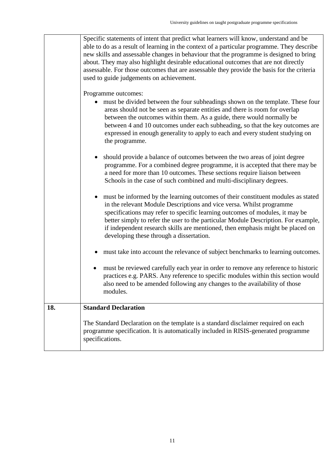Specific statements of intent that predict what learners will know, understand and be able to do as a result of learning in the context of a particular programme. They describe new skills and assessable changes in behaviour that the programme is designed to bring about. They may also highlight desirable educational outcomes that are not directly assessable. For those outcomes that are assessable they provide the basis for the criteria used to guide judgements on achievement.

Programme outcomes:

- must be divided between the four subheadings shown on the template. These four areas should not be seen as separate entities and there is room for overlap between the outcomes within them. As a guide, there would normally be between 4 and 10 outcomes under each subheading, so that the key outcomes are expressed in enough generality to apply to each and every student studying on the programme.
- should provide a balance of outcomes between the two areas of joint degree programme. For a combined degree programme, it is accepted that there may be a need for more than 10 outcomes. These sections require liaison between Schools in the case of such combined and multi-disciplinary degrees.
- must be informed by the learning outcomes of their constituent modules as stated in the relevant Module Descriptions and vice versa. Whilst programme specifications may refer to specific learning outcomes of modules, it may be better simply to refer the user to the particular Module Description. For example, if independent research skills are mentioned, then emphasis might be placed on developing these through a dissertation.
- must take into account the relevance of subject benchmarks to learning outcomes.
- must be reviewed carefully each year in order to remove any reference to historic practices e.g. PARS. Any reference to specific modules within this section would also need to be amended following any changes to the availability of those modules.

## **18. Standard Declaration** The Standard Declaration on the template is a standard disclaimer required on each programme specification. It is automatically included in RISIS-generated programme specifications.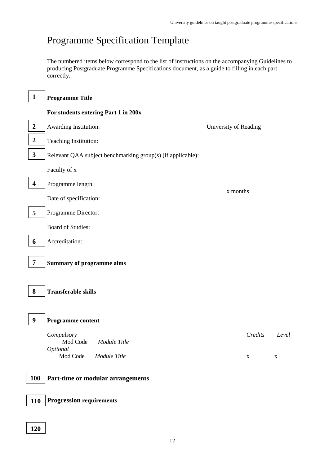## Programme Specification Template

The numbered items below correspond to the list of instructions on the accompanying Guidelines to producing Postgraduate Programme Specifications document, as a guide to filling in each part correctly.

| $\mathbf{1}$            | <b>Programme Title</b>                                      |                       |             |
|-------------------------|-------------------------------------------------------------|-----------------------|-------------|
|                         | For students entering Part 1 in 200x                        |                       |             |
| $\boldsymbol{2}$        | Awarding Institution:                                       | University of Reading |             |
| $\boldsymbol{2}$        | Teaching Institution:                                       |                       |             |
| $\mathbf{3}$            | Relevant QAA subject benchmarking group(s) (if applicable): |                       |             |
|                         | Faculty of x                                                |                       |             |
| $\overline{\mathbf{4}}$ | Programme length:                                           |                       |             |
|                         | x months<br>Date of specification:                          |                       |             |
| 5                       | Programme Director:                                         |                       |             |
|                         | <b>Board of Studies:</b>                                    |                       |             |
| 6                       | Accreditation:                                              |                       |             |
| $\overline{7}$          | <b>Summary of programme aims</b>                            |                       |             |
| 8                       | <b>Transferable skills</b>                                  |                       |             |
| $\boldsymbol{9}$        | Programme content                                           |                       |             |
|                         | Compulsory<br>Mod Code Module Title<br>Optional             | Credits               | Level       |
|                         | Mod Code<br>Module Title                                    | $\mathbf X$           | $\mathbf X$ |
| <b>100</b>              | Part-time or modular arrangements                           |                       |             |
| <b>110</b>              | <b>Progression requirements</b>                             |                       |             |

ſ

Г

┑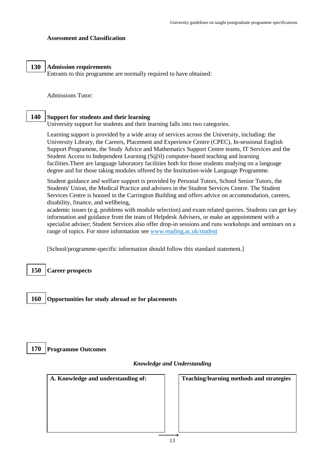### **Assessment and Classification**

#### **Admission requirements 130**

**000**

**000**

Entrants to this programme are normally required to have obtained:

Admissions Tutor:

#### **Support for students and their learning 140**

University support for students and their learning falls into two categories.

Learning support is provided by a wide array of services across the University, including: the University Library, the Careers, Placement and Experience Centre (CPEC), In-sessional English Support Programme, the Study Advice and Mathematics Support Centre teams, IT Services and the Student Access to Independent Learning (S@il) computer-based teaching and learning facilities.There are language laboratory facilities both for those students studying on a language degree and for those taking modules offered by the Institution-wide Language Programme.

Student guidance and welfare support is provided by Personal Tutors, School Senior Tutors, the Students' Union, the Medical Practice and advisers in the Student Services Centre. The Student Services Centre is housed in the Carrington Building and offers advice on accommodation, careers, disability, finance, and wellbeing,

academic issues (e.g. problems with module selection) and exam related queries. Students can get key information and guidance from the team of Helpdesk Advisers, or make an appointment with a specialist adviser; Student Services also offer drop-in sessions and runs workshops and seminars on a range of topics. For more information see [www.reading.ac.uk/student](http://www.reading.ac.uk/student)

[School/programme-specific information should follow this standard statement.]

**Career prospects 150**

**000**

**000**

**000**

**Opportunities for study abroad or for placements 160**

#### **Programme Outcomes 170**

## *Knowledge and Understanding*

| <b>Teaching/learning methods and strategies</b> |
|-------------------------------------------------|
|                                                 |
|                                                 |
|                                                 |
|                                                 |
|                                                 |
|                                                 |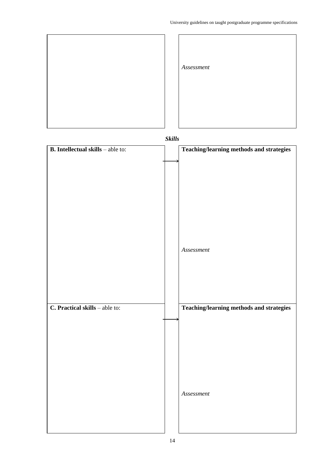

*Skills*